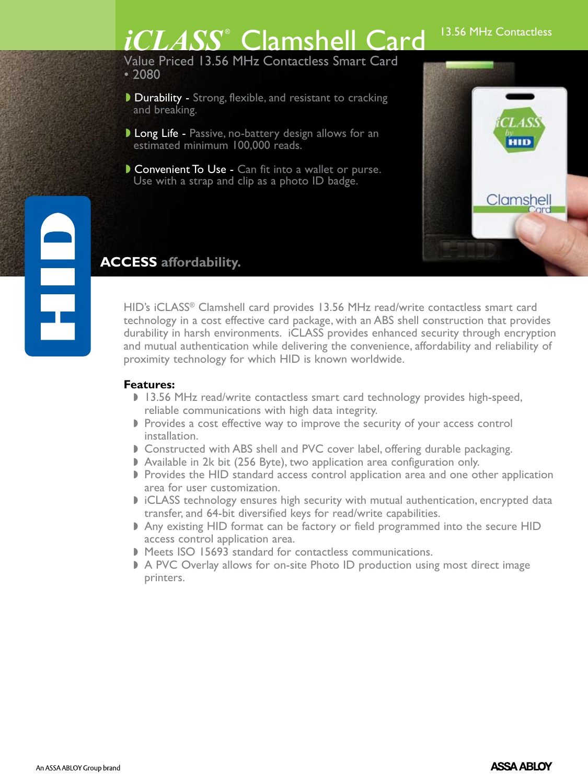# *iCLASS*<sup>®</sup> Clamshell Card 13.56 MHz Contactless

Value Priced 13.56 MHz Contactless Smart Card • 2080

- Durability Strong, flexible, and resistant to cracking and breaking.
- **Long Life Passive, no-battery design allows for an** estimated minimum 100,000 reads.
- Convenient To Use Can fit into a wallet or purse. Use with a strap and clip as a photo ID badge.



## **ACCESS affordability.**

HID's iCLASS® Clamshell card provides 13.56 MHz read/write contactless smart card technology in a cost effective card package, with an ABS shell construction that provides durability in harsh environments. iCLASS provides enhanced security through encryption and mutual authentication while delivering the convenience, affordability and reliability of proximity technology for which HID is known worldwide.

#### **Features:**

F

- I 13.56 MHz read/write contactless smart card technology provides high-speed, reliable communications with high data integrity.
- Provides a cost effective way to improve the security of your access control installation.
- **Constructed with ABS shell and PVC cover label, offering durable packaging.**
- Available in 2k bit (256 Byte), two application area configuration only.
- Provides the HID standard access control application area and one other application area for user customization.
- I iCLASS technology ensures high security with mutual authentication, encrypted data transfer, and 64-bit diversified keys for read/write capabilities.
- Any existing HID format can be factory or field programmed into the secure HID access control application area.
- Meets ISO 15693 standard for contactless communications.
- ▶ A PVC Overlay allows for on-site Photo ID production using most direct image printers.